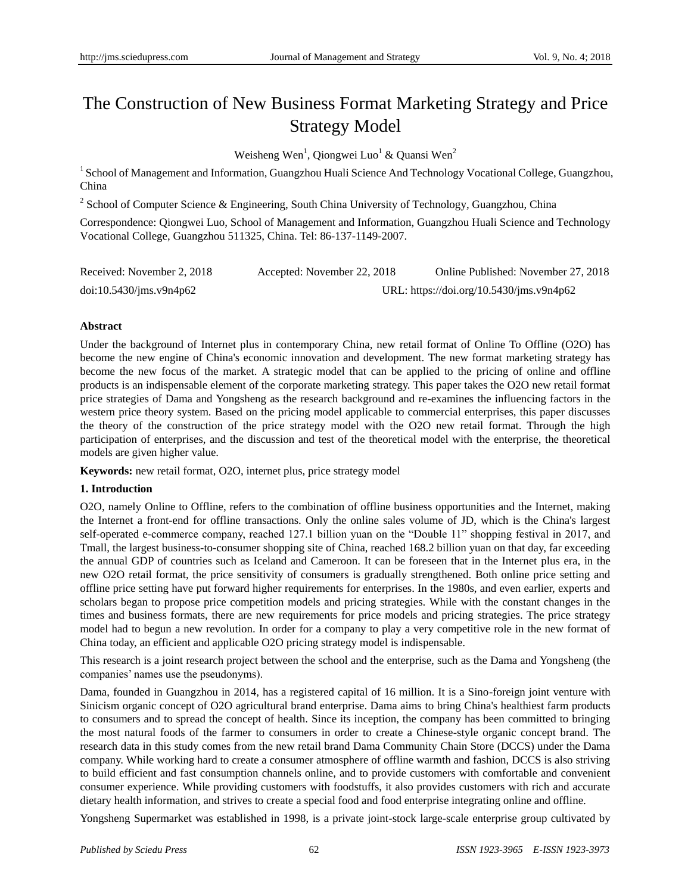# The Construction of New Business Format Marketing Strategy and Price Strategy Model

Weisheng Wen<sup>1</sup>, Qiongwei Luo<sup>1</sup> & Quansi Wen<sup>2</sup>

<sup>1</sup> School of Management and Information, Guangzhou Huali Science And Technology Vocational College, Guangzhou, China

<sup>2</sup> School of Computer Science & Engineering, South China University of Technology, Guangzhou, China

Correspondence: Qiongwei Luo, School of Management and Information, Guangzhou Huali Science and Technology Vocational College, Guangzhou 511325, China. Tel: 86-137-1149-2007.

| Received: November 2, 2018                     | Accepted: November 22, 2018 | Online Published: November 27, 2018      |
|------------------------------------------------|-----------------------------|------------------------------------------|
| $\frac{\text{doi:10.5430}}{\text{ms.v9n4p62}}$ |                             | URL: https://doi.org/10.5430/jms.v9n4p62 |

## **Abstract**

Under the background of Internet plus in contemporary China, new retail format of Online To Offline (O2O) has become the new engine of China's economic innovation and development. The new format marketing strategy has become the new focus of the market. A strategic model that can be applied to the pricing of online and offline products is an indispensable element of the corporate marketing strategy. This paper takes the O2O new retail format price strategies of Dama and Yongsheng as the research background and re-examines the influencing factors in the western price theory system. Based on the pricing model applicable to commercial enterprises, this paper discusses the theory of the construction of the price strategy model with the O2O new retail format. Through the high participation of enterprises, and the discussion and test of the theoretical model with the enterprise, the theoretical models are given higher value.

**Keywords:** new retail format, O2O, internet plus, price strategy model

## **1. Introduction**

O2O, namely Online to Offline, refers to the combination of offline business opportunities and the Internet, making the Internet a front-end for offline transactions. Only the online sales volume of JD, which is the China's largest self-operated e-commerce company, reached 127.1 billion yuan on the "Double 11" shopping festival in 2017, and Tmall, the largest business-to-consumer shopping site of China, reached 168.2 billion yuan on that day, far exceeding the annual GDP of countries such as Iceland and Cameroon. It can be foreseen that in the Internet plus era, in the new O2O retail format, the price sensitivity of consumers is gradually strengthened. Both online price setting and offline price setting have put forward higher requirements for enterprises. In the 1980s, and even earlier, experts and scholars began to propose price competition models and pricing strategies. While with the constant changes in the times and business formats, there are new requirements for price models and pricing strategies. The price strategy model had to begun a new revolution. In order for a company to play a very competitive role in the new format of China today, an efficient and applicable O2O pricing strategy model is indispensable.

This research is a joint research project between the school and the enterprise, such as the Dama and Yongsheng (the companies' names use the pseudonyms).

Dama, founded in Guangzhou in 2014, has a registered capital of 16 million. It is a Sino-foreign joint venture with Sinicism organic concept of O2O agricultural brand enterprise. Dama aims to bring China's healthiest farm products to consumers and to spread the concept of health. Since its inception, the company has been committed to bringing the most natural foods of the farmer to consumers in order to create a Chinese-style organic concept brand. The research data in this study comes from the new retail brand Dama Community Chain Store (DCCS) under the Dama company. While working hard to create a consumer atmosphere of offline warmth and fashion, DCCS is also striving to build efficient and fast consumption channels online, and to provide customers with comfortable and convenient consumer experience. While providing customers with foodstuffs, it also provides customers with rich and accurate dietary health information, and strives to create a special food and food enterprise integrating online and offline.

Yongsheng Supermarket was established in 1998, is a private joint-stock large-scale enterprise group cultivated by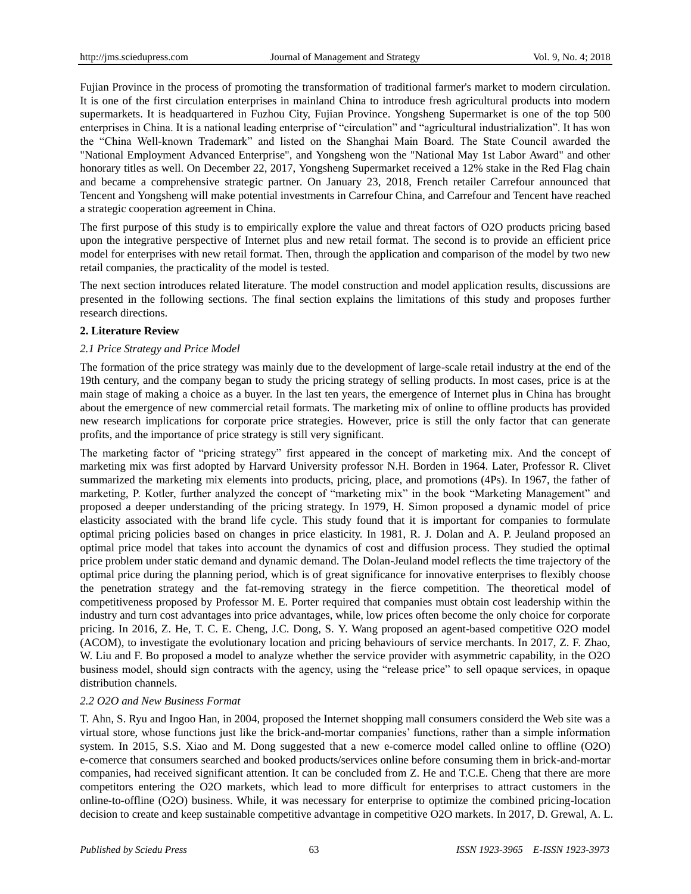Fujian Province in the process of promoting the transformation of traditional farmer's market to modern circulation. It is one of the first circulation enterprises in mainland China to introduce fresh agricultural products into modern supermarkets. It is headquartered in Fuzhou City, Fujian Province. Yongsheng Supermarket is one of the top 500 enterprises in China. It is a national leading enterprise of "circulation" and "agricultural industrialization". It has won the "China Well-known Trademark" and listed on the Shanghai Main Board. The State Council awarded the "National Employment Advanced Enterprise", and Yongsheng won the "National May 1st Labor Award" and other honorary titles as well. On December 22, 2017, Yongsheng Supermarket received a 12% stake in the Red Flag chain and became a comprehensive strategic partner. On January 23, 2018, French retailer Carrefour announced that Tencent and Yongsheng will make potential investments in Carrefour China, and Carrefour and Tencent have reached a strategic cooperation agreement in China.

The first purpose of this study is to empirically explore the value and threat factors of O2O products pricing based upon the integrative perspective of Internet plus and new retail format. The second is to provide an efficient price model for enterprises with new retail format. Then, through the application and comparison of the model by two new retail companies, the practicality of the model is tested.

The next section introduces related literature. The model construction and model application results, discussions are presented in the following sections. The final section explains the limitations of this study and proposes further research directions.

#### **2. Literature Review**

#### *2.1 Price Strategy and Price Model*

The formation of the price strategy was mainly due to the development of large-scale retail industry at the end of the 19th century, and the company began to study the pricing strategy of selling products. In most cases, price is at the main stage of making a choice as a buyer. In the last ten years, the emergence of Internet plus in China has brought about the emergence of new commercial retail formats. The marketing mix of online to offline products has provided new research implications for corporate price strategies. However, price is still the only factor that can generate profits, and the importance of price strategy is still very significant.

The marketing factor of "pricing strategy" first appeared in the concept of marketing mix. And the concept of marketing mix was first adopted by Harvard University professor N.H. Borden in 1964. Later, Professor R. Clivet summarized the marketing mix elements into products, pricing, place, and promotions (4Ps). In 1967, the father of marketing, P. Kotler, further analyzed the concept of "marketing mix" in the book "Marketing Management" and proposed a deeper understanding of the pricing strategy. In 1979, H. Simon proposed a dynamic model of price elasticity associated with the brand life cycle. This study found that it is important for companies to formulate optimal pricing policies based on changes in price elasticity. In 1981, R. J. Dolan and A. P. Jeuland proposed an optimal price model that takes into account the dynamics of cost and diffusion process. They studied the optimal price problem under static demand and dynamic demand. The Dolan-Jeuland model reflects the time trajectory of the optimal price during the planning period, which is of great significance for innovative enterprises to flexibly choose the penetration strategy and the fat-removing strategy in the fierce competition. The theoretical model of competitiveness proposed by Professor M. E. Porter required that companies must obtain cost leadership within the industry and turn cost advantages into price advantages, while, low prices often become the only choice for corporate pricing. In 2016, Z. He, T. C. E. Cheng, J.C. Dong, S. Y. Wang proposed an agent-based competitive O2O model (ACOM), to investigate the evolutionary location and pricing behaviours of service merchants. In 2017, Z. F. Zhao, W. Liu and F. Bo proposed a model to analyze whether the service provider with asymmetric capability, in the O2O business model, should sign contracts with the agency, using the "release price" to sell opaque services, in opaque distribution channels.

#### *2.2 O2O and New Business Format*

T. Ahn, S. Ryu and Ingoo Han, in 2004, proposed the Internet shopping mall consumers considerd the Web site was a virtual store, whose functions just like the brick-and-mortar companies' functions, rather than a simple information system. In 2015, S.S. Xiao and M. Dong suggested that a new e-comerce model called online to offline (O2O) e-comerce that consumers searched and booked products/services online before consuming them in brick-and-mortar companies, had received significant attention. It can be concluded from Z. He and T.C.E. Cheng that there are more competitors entering the O2O markets, which lead to more difficult for enterprises to attract customers in the online-to-offline (O2O) business. While, it was necessary for enterprise to optimize the combined pricing-location decision to create and keep sustainable competitive advantage in competitive O2O markets. In 2017, D. Grewal, A. L.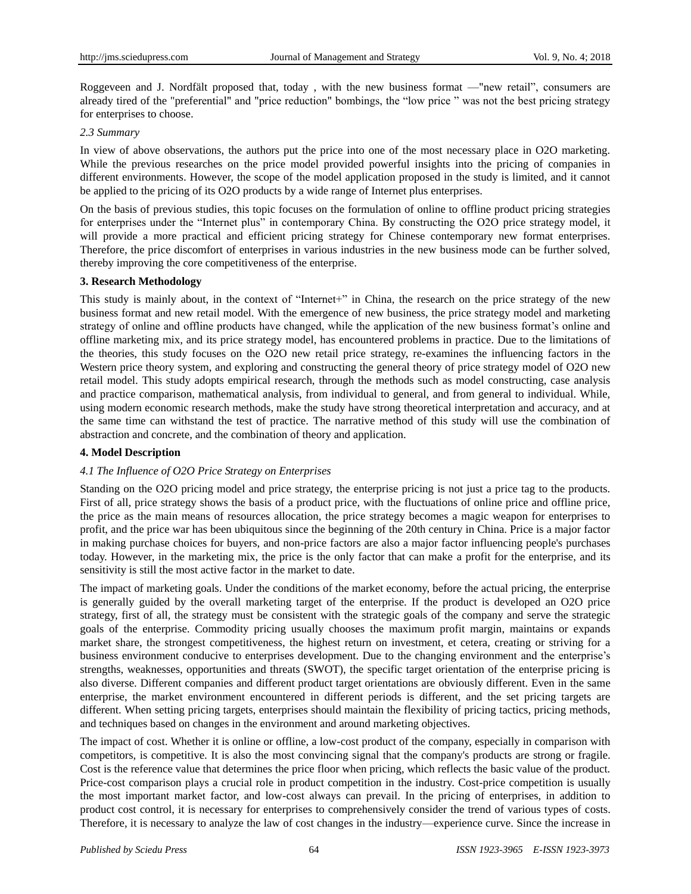Roggeveen and J. Nordf at proposed that, today, with the new business format —"new retail", consumers are already tired of the "preferential" and "price reduction" bombings, the "low price " was not the best pricing strategy for enterprises to choose.

## *2.3 Summary*

In view of above observations, the authors put the price into one of the most necessary place in O2O marketing. While the previous researches on the price model provided powerful insights into the pricing of companies in different environments. However, the scope of the model application proposed in the study is limited, and it cannot be applied to the pricing of its O2O products by a wide range of Internet plus enterprises.

On the basis of previous studies, this topic focuses on the formulation of online to offline product pricing strategies for enterprises under the "Internet plus" in contemporary China. By constructing the O2O price strategy model, it will provide a more practical and efficient pricing strategy for Chinese contemporary new format enterprises. Therefore, the price discomfort of enterprises in various industries in the new business mode can be further solved, thereby improving the core competitiveness of the enterprise.

## **3. Research Methodology**

This study is mainly about, in the context of "Internet+" in China, the research on the price strategy of the new business format and new retail model. With the emergence of new business, the price strategy model and marketing strategy of online and offline products have changed, while the application of the new business format's online and offline marketing mix, and its price strategy model, has encountered problems in practice. Due to the limitations of the theories, this study focuses on the O2O new retail price strategy, re-examines the influencing factors in the Western price theory system, and exploring and constructing the general theory of price strategy model of O2O new retail model. This study adopts empirical research, through the methods such as model constructing, case analysis and practice comparison, mathematical analysis, from individual to general, and from general to individual. While, using modern economic research methods, make the study have strong theoretical interpretation and accuracy, and at the same time can withstand the test of practice. The narrative method of this study will use the combination of abstraction and concrete, and the combination of theory and application.

## **4. Model Description**

# *4.1 The Influence of O2O Price Strategy on Enterprises*

Standing on the O2O pricing model and price strategy, the enterprise pricing is not just a price tag to the products. First of all, price strategy shows the basis of a product price, with the fluctuations of online price and offline price, the price as the main means of resources allocation, the price strategy becomes a magic weapon for enterprises to profit, and the price war has been ubiquitous since the beginning of the 20th century in China. Price is a major factor in making purchase choices for buyers, and non-price factors are also a major factor influencing people's purchases today. However, in the marketing mix, the price is the only factor that can make a profit for the enterprise, and its sensitivity is still the most active factor in the market to date.

The impact of marketing goals. Under the conditions of the market economy, before the actual pricing, the enterprise is generally guided by the overall marketing target of the enterprise. If the product is developed an O2O price strategy, first of all, the strategy must be consistent with the strategic goals of the company and serve the strategic goals of the enterprise. Commodity pricing usually chooses the maximum profit margin, maintains or expands market share, the strongest competitiveness, the highest return on investment, et cetera, creating or striving for a business environment conducive to enterprises development. Due to the changing environment and the enterprise's strengths, weaknesses, opportunities and threats (SWOT), the specific target orientation of the enterprise pricing is also diverse. Different companies and different product target orientations are obviously different. Even in the same enterprise, the market environment encountered in different periods is different, and the set pricing targets are different. When setting pricing targets, enterprises should maintain the flexibility of pricing tactics, pricing methods, and techniques based on changes in the environment and around marketing objectives.

The impact of cost. Whether it is online or offline, a low-cost product of the company, especially in comparison with competitors, is competitive. It is also the most convincing signal that the company's products are strong or fragile. Cost is the reference value that determines the price floor when pricing, which reflects the basic value of the product. Price-cost comparison plays a crucial role in product competition in the industry. Cost-price competition is usually the most important market factor, and low-cost always can prevail. In the pricing of enterprises, in addition to product cost control, it is necessary for enterprises to comprehensively consider the trend of various types of costs. Therefore, it is necessary to analyze the law of cost changes in the industry—experience curve. Since the increase in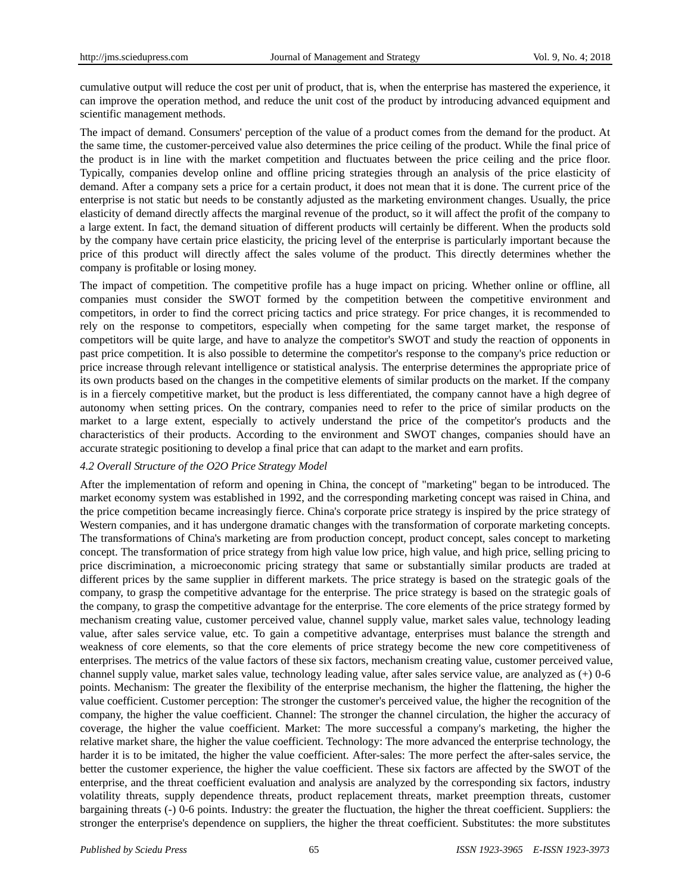cumulative output will reduce the cost per unit of product, that is, when the enterprise has mastered the experience, it can improve the operation method, and reduce the unit cost of the product by introducing advanced equipment and scientific management methods.

The impact of demand. Consumers' perception of the value of a product comes from the demand for the product. At the same time, the customer-perceived value also determines the price ceiling of the product. While the final price of the product is in line with the market competition and fluctuates between the price ceiling and the price floor. Typically, companies develop online and offline pricing strategies through an analysis of the price elasticity of demand. After a company sets a price for a certain product, it does not mean that it is done. The current price of the enterprise is not static but needs to be constantly adjusted as the marketing environment changes. Usually, the price elasticity of demand directly affects the marginal revenue of the product, so it will affect the profit of the company to a large extent. In fact, the demand situation of different products will certainly be different. When the products sold by the company have certain price elasticity, the pricing level of the enterprise is particularly important because the price of this product will directly affect the sales volume of the product. This directly determines whether the company is profitable or losing money.

The impact of competition. The competitive profile has a huge impact on pricing. Whether online or offline, all companies must consider the SWOT formed by the competition between the competitive environment and competitors, in order to find the correct pricing tactics and price strategy. For price changes, it is recommended to rely on the response to competitors, especially when competing for the same target market, the response of competitors will be quite large, and have to analyze the competitor's SWOT and study the reaction of opponents in past price competition. It is also possible to determine the competitor's response to the company's price reduction or price increase through relevant intelligence or statistical analysis. The enterprise determines the appropriate price of its own products based on the changes in the competitive elements of similar products on the market. If the company is in a fiercely competitive market, but the product is less differentiated, the company cannot have a high degree of autonomy when setting prices. On the contrary, companies need to refer to the price of similar products on the market to a large extent, especially to actively understand the price of the competitor's products and the characteristics of their products. According to the environment and SWOT changes, companies should have an accurate strategic positioning to develop a final price that can adapt to the market and earn profits.

#### *4.2 Overall Structure of the O2O Price Strategy Model*

After the implementation of reform and opening in China, the concept of "marketing" began to be introduced. The market economy system was established in 1992, and the corresponding marketing concept was raised in China, and the price competition became increasingly fierce. China's corporate price strategy is inspired by the price strategy of Western companies, and it has undergone dramatic changes with the transformation of corporate marketing concepts. The transformations of China's marketing are from production concept, product concept, sales concept to marketing concept. The transformation of price strategy from high value low price, high value, and high price, selling pricing to price discrimination, a microeconomic pricing strategy that same or substantially similar products are traded at different prices by the same supplier in different markets. The price strategy is based on the strategic goals of the company, to grasp the competitive advantage for the enterprise. The price strategy is based on the strategic goals of the company, to grasp the competitive advantage for the enterprise. The core elements of the price strategy formed by mechanism creating value, customer perceived value, channel supply value, market sales value, technology leading value, after sales service value, etc. To gain a competitive advantage, enterprises must balance the strength and weakness of core elements, so that the core elements of price strategy become the new core competitiveness of enterprises. The metrics of the value factors of these six factors, mechanism creating value, customer perceived value, channel supply value, market sales value, technology leading value, after sales service value, are analyzed as (+) 0-6 points. Mechanism: The greater the flexibility of the enterprise mechanism, the higher the flattening, the higher the value coefficient. Customer perception: The stronger the customer's perceived value, the higher the recognition of the company, the higher the value coefficient. Channel: The stronger the channel circulation, the higher the accuracy of coverage, the higher the value coefficient. Market: The more successful a company's marketing, the higher the relative market share, the higher the value coefficient. Technology: The more advanced the enterprise technology, the harder it is to be imitated, the higher the value coefficient. After-sales: The more perfect the after-sales service, the better the customer experience, the higher the value coefficient. These six factors are affected by the SWOT of the enterprise, and the threat coefficient evaluation and analysis are analyzed by the corresponding six factors, industry volatility threats, supply dependence threats, product replacement threats, market preemption threats, customer bargaining threats (-) 0-6 points. Industry: the greater the fluctuation, the higher the threat coefficient. Suppliers: the stronger the enterprise's dependence on suppliers, the higher the threat coefficient. Substitutes: the more substitutes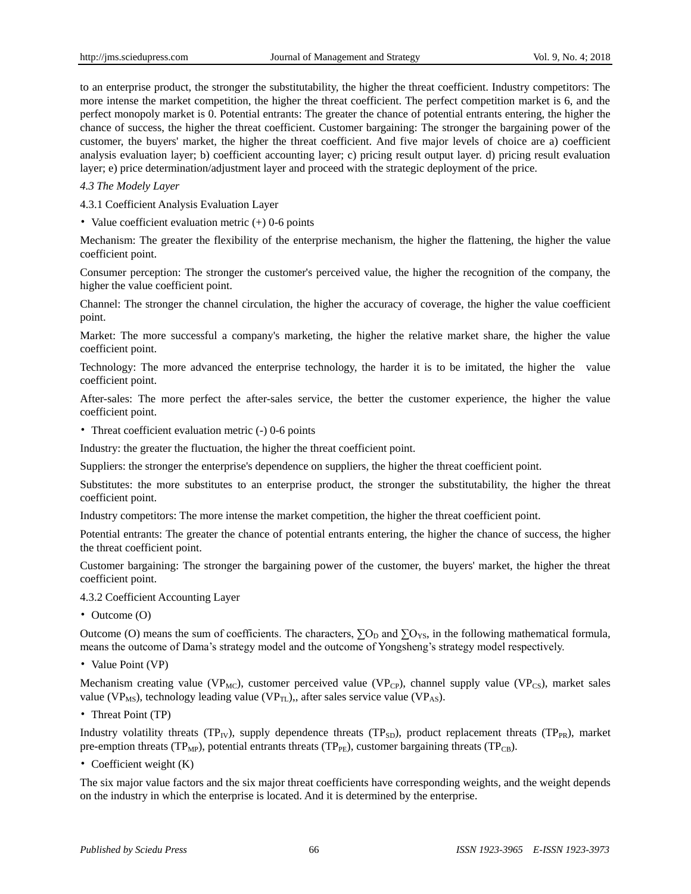to an enterprise product, the stronger the substitutability, the higher the threat coefficient. Industry competitors: The more intense the market competition, the higher the threat coefficient. The perfect competition market is 6, and the perfect monopoly market is 0. Potential entrants: The greater the chance of potential entrants entering, the higher the chance of success, the higher the threat coefficient. Customer bargaining: The stronger the bargaining power of the customer, the buyers' market, the higher the threat coefficient. And five major levels of choice are a) coefficient analysis evaluation layer; b) coefficient accounting layer; c) pricing result output layer. d) pricing result evaluation layer; e) price determination/adjustment layer and proceed with the strategic deployment of the price.

#### *4.3 The Modely Layer*

4.3.1 Coefficient Analysis Evaluation Layer

• Value coefficient evaluation metric (+) 0-6 points

Mechanism: The greater the flexibility of the enterprise mechanism, the higher the flattening, the higher the value coefficient point.

Consumer perception: The stronger the customer's perceived value, the higher the recognition of the company, the higher the value coefficient point.

Channel: The stronger the channel circulation, the higher the accuracy of coverage, the higher the value coefficient point.

Market: The more successful a company's marketing, the higher the relative market share, the higher the value coefficient point.

Technology: The more advanced the enterprise technology, the harder it is to be imitated, the higher the value coefficient point.

After-sales: The more perfect the after-sales service, the better the customer experience, the higher the value coefficient point.

• Threat coefficient evaluation metric (-) 0-6 points

Industry: the greater the fluctuation, the higher the threat coefficient point.

Suppliers: the stronger the enterprise's dependence on suppliers, the higher the threat coefficient point.

Substitutes: the more substitutes to an enterprise product, the stronger the substitutability, the higher the threat coefficient point.

Industry competitors: The more intense the market competition, the higher the threat coefficient point.

Potential entrants: The greater the chance of potential entrants entering, the higher the chance of success, the higher the threat coefficient point.

Customer bargaining: The stronger the bargaining power of the customer, the buyers' market, the higher the threat coefficient point.

4.3.2 Coefficient Accounting Layer

• Outcome (O)

Outcome (O) means the sum of coefficients. The characters,  $\Sigma O<sub>D</sub>$  and  $\Sigma O<sub>YS</sub>$ , in the following mathematical formula, means the outcome of Dama's strategy model and the outcome of Yongsheng's strategy model respectively.

• Value Point (VP)

Mechanism creating value (VP<sub>MC</sub>), customer perceived value (VP<sub>CP</sub>), channel supply value (VP<sub>CS</sub>), market sales value (VP<sub>MS</sub>), technology leading value (VP<sub>TL</sub>),, after sales service value (VP<sub>AS</sub>).

• Threat Point (TP)

Industry volatility threats (TP<sub>IV</sub>), supply dependence threats (TP<sub>SD</sub>), product replacement threats (TP<sub>PR</sub>), market pre-emption threats ( $TP_{MP}$ ), potential entrants threats ( $TP_{PE}$ ), customer bargaining threats ( $TP_{CB}$ ).

• Coefficient weight (K)

The six major value factors and the six major threat coefficients have corresponding weights, and the weight depends on the industry in which the enterprise is located. And it is determined by the enterprise.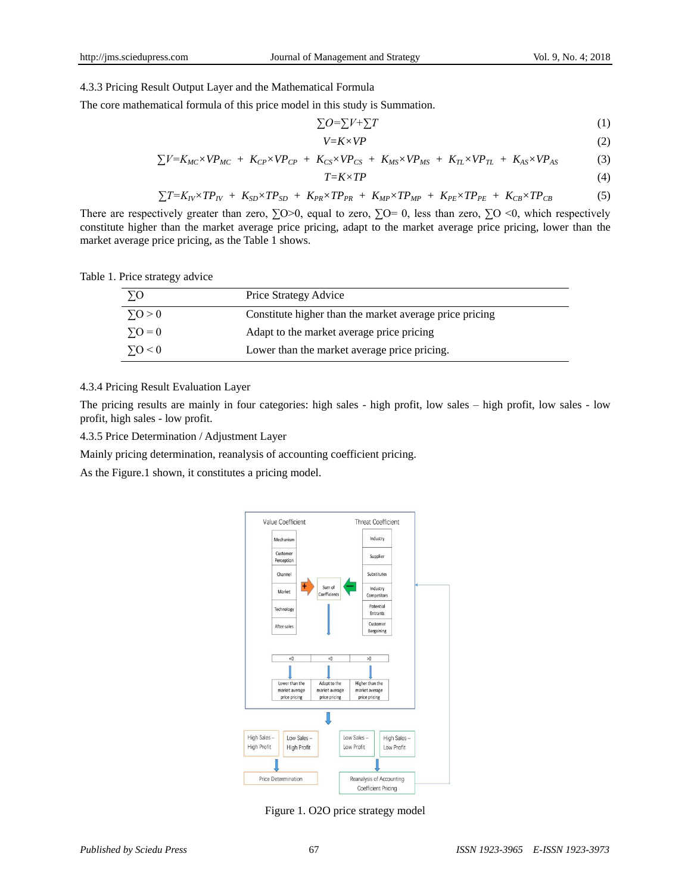#### 4.3.3 Pricing Result Output Layer and the Mathematical Formula

The core mathematical formula of this price model in this study is Summation.

$$
\sum O = \sum V + \sum T \tag{1}
$$

$$
V = K \times VP \tag{2}
$$

$$
\sum V = K_{MC} \times VP_{MC} + K_{CP} \times VP_{CP} + K_{CS} \times VP_{CS} + K_{MS} \times VP_{MS} + K_{TL} \times VP_{TL} + K_{AS} \times VP_{AS}
$$
(3)

$$
T = K \times TP \tag{4}
$$

$$
\sum T = K_{IV} \times TP_{IV} + K_{SD} \times TP_{SD} + K_{PR} \times TP_{PR} + K_{MP} \times TP_{MP} + K_{PE} \times TP_{PE} + K_{CB} \times TP_{CB}
$$
(5)

There are respectively greater than zero,  $\Sigma$ O>0, equal to zero,  $\Sigma$ O= 0, less than zero,  $\Sigma$ O <0, which respectively constitute higher than the market average price pricing, adapt to the market average price pricing, lower than the market average price pricing, as the Table 1 shows.

Table 1. Price strategy advice

| УO                         | Price Strategy Advice                                   |
|----------------------------|---------------------------------------------------------|
| $\sum_{i=1}^{n}$ $0 \ge 0$ | Constitute higher than the market average price pricing |
| $\Sigma$ O = 0             | Adapt to the market average price pricing               |
| $\sum_{i=1}^{n}$           | Lower than the market average price pricing.            |

#### 4.3.4 Pricing Result Evaluation Layer

The pricing results are mainly in four categories: high sales - high profit, low sales – high profit, low sales - low profit, high sales - low profit.

4.3.5 Price Determination / Adjustment Layer

Mainly pricing determination, reanalysis of accounting coefficient pricing.

As the Figure.1 shown, it constitutes a pricing model.



Figure 1. O2O price strategy model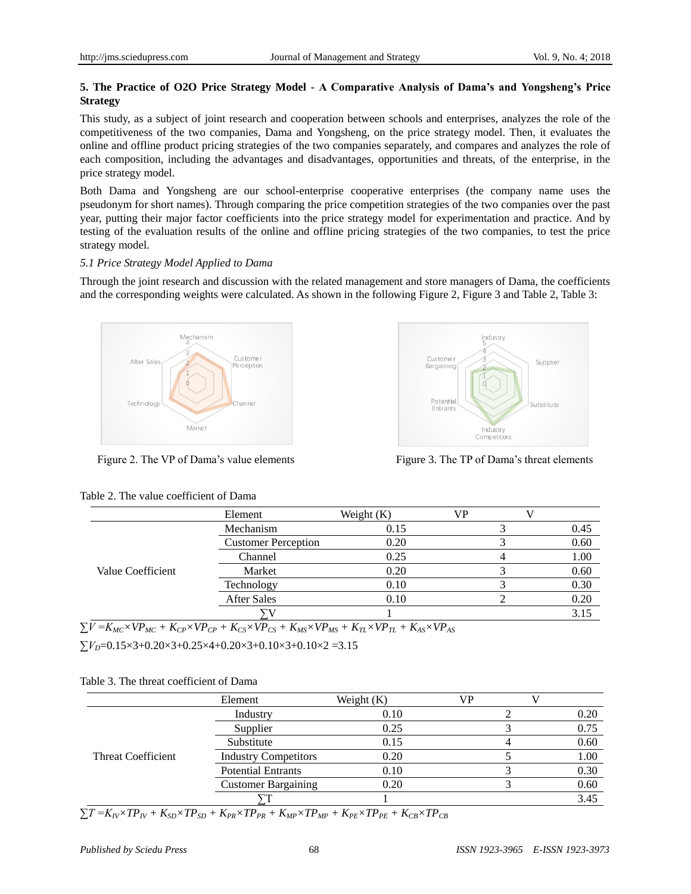## **5. The Practice of O2O Price Strategy Model - A Comparative Analysis of Dama's and Yongsheng's Price Strategy**

This study, as a subject of joint research and cooperation between schools and enterprises, analyzes the role of the competitiveness of the two companies, Dama and Yongsheng, on the price strategy model. Then, it evaluates the online and offline product pricing strategies of the two companies separately, and compares and analyzes the role of each composition, including the advantages and disadvantages, opportunities and threats, of the enterprise, in the price strategy model.

Both Dama and Yongsheng are our school-enterprise cooperative enterprises (the company name uses the pseudonym for short names). Through comparing the price competition strategies of the two companies over the past year, putting their major factor coefficients into the price strategy model for experimentation and practice. And by testing of the evaluation results of the online and offline pricing strategies of the two companies, to test the price strategy model.

#### *5.1 Price Strategy Model Applied to Dama*

Through the joint research and discussion with the related management and store managers of Dama, the coefficients and the corresponding weights were calculated. As shown in the following Figure 2, Figure 3 and Table 2, Table 3:



Figure 2. The VP of Dama's value elements Figure 3. The TP of Dama's threat elements



|                   | Element                    | Weight $(K)$ | VР |      |
|-------------------|----------------------------|--------------|----|------|
|                   | Mechanism                  | 0.15         |    | 0.45 |
|                   | <b>Customer Perception</b> | 0.20         |    | 0.60 |
|                   | Channel                    | 0.25         |    | 1.00 |
| Value Coefficient | Market                     | 0.20         |    | 0.60 |
|                   | Technology                 | 0.10         |    | 0.30 |
|                   | <b>After Sales</b>         | $0.10\,$     |    | 0.20 |
|                   |                            |              |    |      |

#### Table 2. The value coefficient of Dama

 $\sum V = K_{MC} \times VP_{MC} + K_{CP} \times VP_{CP} + K_{CS} \times VP_{CS} + K_{MS} \times VP_{MS} + K_{TL} \times VP_{TL} + K_{AS} \times VP_{AS}$ 

 $\sum V_D$ =0.15×3+0.20×3+0.25×4+0.20×3+0.10×3+0.10×2 =3.15

# Table 3. The threat coefficient of Dama

|                           | Element                     | Weight $(K)$ | VP |      |
|---------------------------|-----------------------------|--------------|----|------|
| <b>Threat Coefficient</b> | Industry                    | 0.10         |    | 0.20 |
|                           | Supplier                    | 0.25         |    | 0.75 |
|                           | Substitute                  | 0.15         |    | 0.60 |
|                           | <b>Industry Competitors</b> | 0.20         |    | 1.00 |
|                           | <b>Potential Entrants</b>   | 0.10         |    | 0.30 |
|                           | <b>Customer Bargaining</b>  | 0.20         |    | 0.60 |
|                           |                             |              |    | 3.45 |

 $\textstyle \sum T = K_{IV} \times TP_{IV} + K_{SD} \times TP_{SD} + K_{PR} \times TP_{PR} + K_{MP} \times TP_{MP} + K_{PE} \times TP_{PE} + K_{CB} \times TP_{CB}$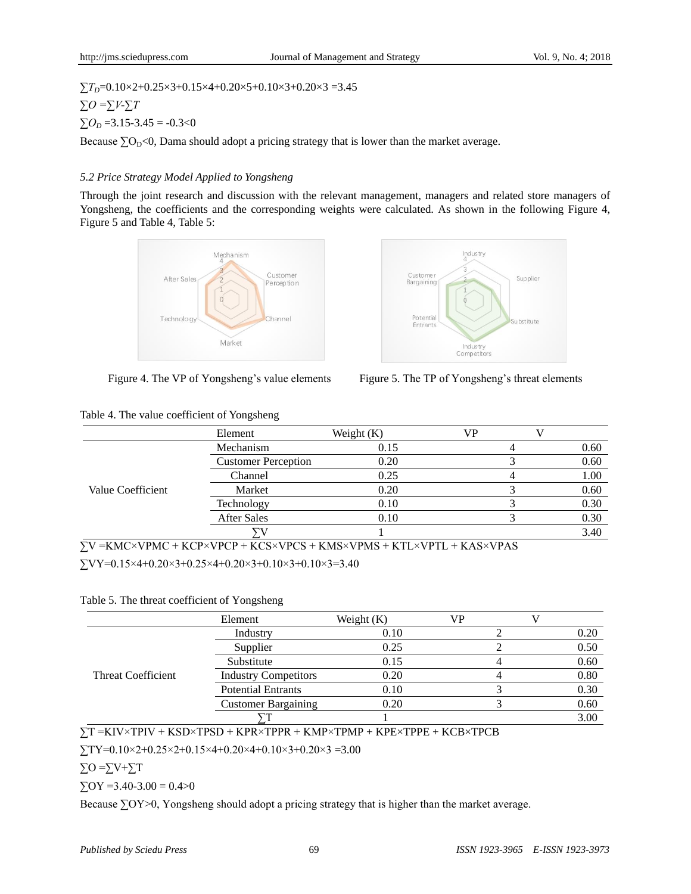$\sum T_D = 0.10 \times 2 + 0.25 \times 3 + 0.15 \times 4 + 0.20 \times 5 + 0.10 \times 3 + 0.20 \times 3 = 3.45$ *∑O =∑V-∑T*  $\sum_{D}$  =3.15-3.45 = -0.3<0

Because  $\Sigma O_p$ <0, Dama should adopt a pricing strategy that is lower than the market average.

#### *5.2 Price Strategy Model Applied to Yongsheng*

Through the joint research and discussion with the relevant management, managers and related store managers of Yongsheng, the coefficients and the corresponding weights were calculated. As shown in the following Figure 4, Figure 5 and Table 4, Table 5:





Figure 4. The VP of Yongsheng's value elements Figure 5. The TP of Yongsheng's threat elements

|                   | Element                    | Weight $(K)$ | 7D) |      |
|-------------------|----------------------------|--------------|-----|------|
| Value Coefficient | Mechanism                  | 0.15         |     | 0.60 |
|                   | <b>Customer Perception</b> | 0.20         |     | 0.60 |
|                   | Channel                    | 0.25         |     | 1.00 |
|                   | Market                     | 0.20         |     | 0.60 |
|                   | Technology                 | 0.10         |     | 0.30 |
|                   | <b>After Sales</b>         | 0.10         |     | 0.30 |
|                   |                            |              |     | 3.40 |

Table 4. The value coefficient of Yongsheng

∑V =KMC×VPMC + KCP×VPCP + KCS×VPCS + KMS×VPMS + KTL×VPTL + KAS×VPAS

 $\Sigma VY=0.15\times4+0.20\times3+0.25\times4+0.20\times3+0.10\times3+0.10\times3=3.40$ 

Table 5. The threat coefficient of Yongsheng

|                           | Element                     | Weight $(K)$ | VР |      |
|---------------------------|-----------------------------|--------------|----|------|
| <b>Threat Coefficient</b> | Industry                    | 0.10         |    | 0.20 |
|                           | Supplier                    | 0.25         |    | 0.50 |
|                           | Substitute                  | 0.15         |    | 0.60 |
|                           | <b>Industry Competitors</b> | 0.20         |    | 0.80 |
|                           | <b>Potential Entrants</b>   | 0.10         |    | 0.30 |
|                           | <b>Customer Bargaining</b>  | 0.20         |    | 0.60 |
|                           |                             |              |    | 3.00 |

∑T =KIV×TPIV + KSD×TPSD + KPR×TPPR + KMP×TPMP + KPE×TPPE + KCB×TPCB

 $\Sigma$ TY=0.10×2+0.25×2+0.15×4+0.20×4+0.10×3+0.20×3 =3.00

 $\Sigma$ O = $\Sigma$ V+ $\Sigma$ T

 $\sum$ OY =3.40-3.00 = 0.4>0

Because ∑OY>0, Yongsheng should adopt a pricing strategy that is higher than the market average.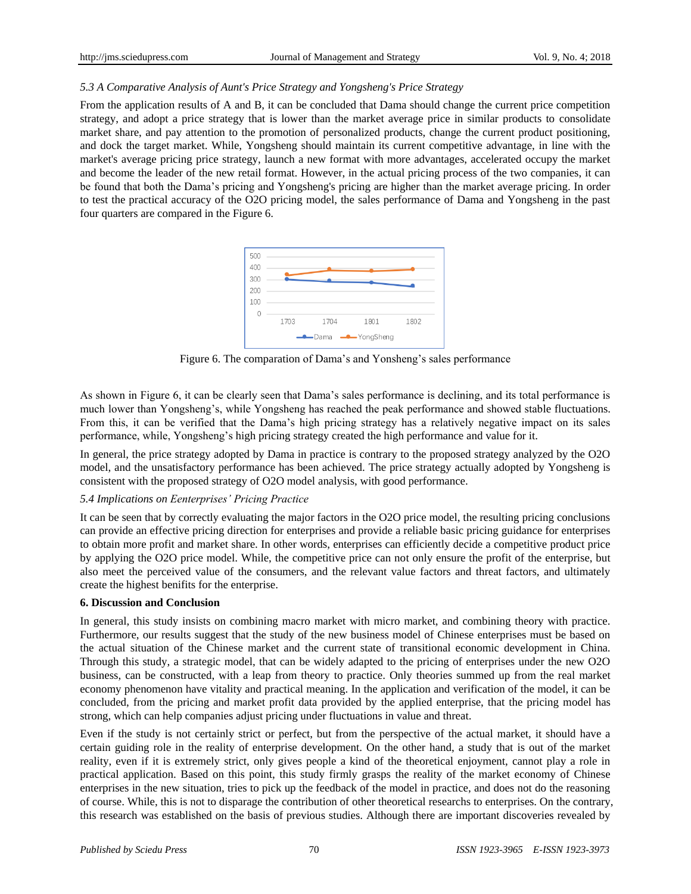# *5.3 A Comparative Analysis of Aunt's Price Strategy and Yongsheng's Price Strategy*

From the application results of A and B, it can be concluded that Dama should change the current price competition strategy, and adopt a price strategy that is lower than the market average price in similar products to consolidate market share, and pay attention to the promotion of personalized products, change the current product positioning, and dock the target market. While, Yongsheng should maintain its current competitive advantage, in line with the market's average pricing price strategy, launch a new format with more advantages, accelerated occupy the market and become the leader of the new retail format. However, in the actual pricing process of the two companies, it can be found that both the Dama's pricing and Yongsheng's pricing are higher than the market average pricing. In order to test the practical accuracy of the O2O pricing model, the sales performance of Dama and Yongsheng in the past four quarters are compared in the Figure 6.



Figure 6. The comparation of Dama's and Yonsheng's sales performance

As shown in Figure 6, it can be clearly seen that Dama's sales performance is declining, and its total performance is much lower than Yongsheng's, while Yongsheng has reached the peak performance and showed stable fluctuations. From this, it can be verified that the Dama's high pricing strategy has a relatively negative impact on its sales performance, while, Yongsheng's high pricing strategy created the high performance and value for it.

In general, the price strategy adopted by Dama in practice is contrary to the proposed strategy analyzed by the O2O model, and the unsatisfactory performance has been achieved. The price strategy actually adopted by Yongsheng is consistent with the proposed strategy of O2O model analysis, with good performance.

## *5.4 Implications on Eenterprises' Pricing Practice*

It can be seen that by correctly evaluating the major factors in the O2O price model, the resulting pricing conclusions can provide an effective pricing direction for enterprises and provide a reliable basic pricing guidance for enterprises to obtain more profit and market share. In other words, enterprises can efficiently decide a competitive product price by applying the O2O price model. While, the competitive price can not only ensure the profit of the enterprise, but also meet the perceived value of the consumers, and the relevant value factors and threat factors, and ultimately create the highest benifits for the enterprise.

## **6. Discussion and Conclusion**

In general, this study insists on combining macro market with micro market, and combining theory with practice. Furthermore, our results suggest that the study of the new business model of Chinese enterprises must be based on the actual situation of the Chinese market and the current state of transitional economic development in China. Through this study, a strategic model, that can be widely adapted to the pricing of enterprises under the new O2O business, can be constructed, with a leap from theory to practice. Only theories summed up from the real market economy phenomenon have vitality and practical meaning. In the application and verification of the model, it can be concluded, from the pricing and market profit data provided by the applied enterprise, that the pricing model has strong, which can help companies adjust pricing under fluctuations in value and threat.

Even if the study is not certainly strict or perfect, but from the perspective of the actual market, it should have a certain guiding role in the reality of enterprise development. On the other hand, a study that is out of the market reality, even if it is extremely strict, only gives people a kind of the theoretical enjoyment, cannot play a role in practical application. Based on this point, this study firmly grasps the reality of the market economy of Chinese enterprises in the new situation, tries to pick up the feedback of the model in practice, and does not do the reasoning of course. While, this is not to disparage the contribution of other theoretical researchs to enterprises. On the contrary, this research was established on the basis of previous studies. Although there are important discoveries revealed by